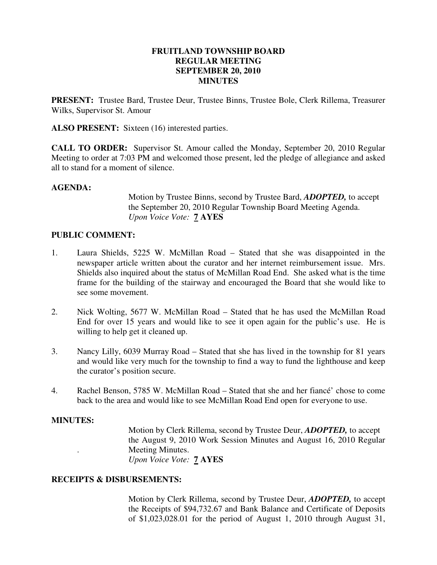### **FRUITLAND TOWNSHIP BOARD REGULAR MEETING SEPTEMBER 20, 2010 MINUTES**

**PRESENT:** Trustee Bard, Trustee Deur, Trustee Binns, Trustee Bole, Clerk Rillema, Treasurer Wilks, Supervisor St. Amour

**ALSO PRESENT:** Sixteen (16) interested parties.

**CALL TO ORDER:** Supervisor St. Amour called the Monday, September 20, 2010 Regular Meeting to order at 7:03 PM and welcomed those present, led the pledge of allegiance and asked all to stand for a moment of silence.

#### **AGENDA:**

 Motion by Trustee Binns, second by Trustee Bard, *ADOPTED,* to accept the September 20, 2010 Regular Township Board Meeting Agenda. *Upon Voice Vote:* **7 AYES** 

### **PUBLIC COMMENT:**

- 1. Laura Shields, 5225 W. McMillan Road Stated that she was disappointed in the newspaper article written about the curator and her internet reimbursement issue. Mrs. Shields also inquired about the status of McMillan Road End. She asked what is the time frame for the building of the stairway and encouraged the Board that she would like to see some movement.
- 2. Nick Wolting, 5677 W. McMillan Road Stated that he has used the McMillan Road End for over 15 years and would like to see it open again for the public's use. He is willing to help get it cleaned up.
- 3. Nancy Lilly, 6039 Murray Road Stated that she has lived in the township for 81 years and would like very much for the township to find a way to fund the lighthouse and keep the curator's position secure.
- 4. Rachel Benson, 5785 W. McMillan Road Stated that she and her fiancé' chose to come back to the area and would like to see McMillan Road End open for everyone to use.

#### **MINUTES:**

Motion by Clerk Rillema, second by Trustee Deur, *ADOPTED,* to accept the August 9, 2010 Work Session Minutes and August 16, 2010 Regular . Meeting Minutes. *Upon Voice Vote:* **7 AYES** 

#### **RECEIPTS & DISBURSEMENTS:**

Motion by Clerk Rillema, second by Trustee Deur, *ADOPTED,* to accept the Receipts of \$94,732.67 and Bank Balance and Certificate of Deposits of \$1,023,028.01 for the period of August 1, 2010 through August 31,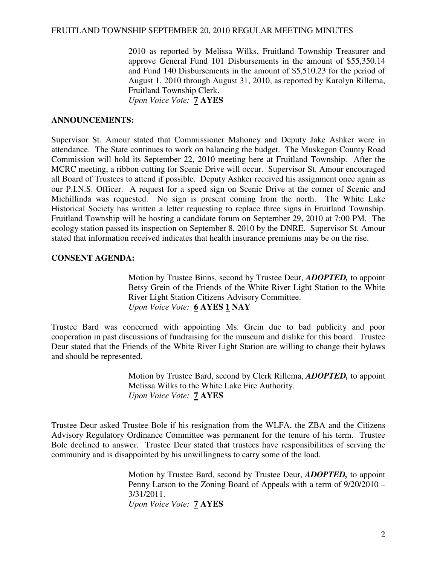2010 as reported by Melissa Wilks, Fruitland Township Treasurer and approve General Fund 101 Disbursements in the amount of \$55,350.14 and Fund 140 Disbursements in the amount of \$5,510.23 for the period of August 1, 2010 through August 31, 2010, as reported by Karolyn Rillema, Fruitland Township Clerk.

*Upon Voice Vote:* **7 AYES** 

#### **ANNOUNCEMENTS:**

Supervisor St. Amour stated that Commissioner Mahoney and Deputy Jake Ashker were in attendance. The State continues to work on balancing the budget. The Muskegon County Road Commission will hold its September 22, 2010 meeting here at Fruitland Township. After the MCRC meeting, a ribbon cutting for Scenic Drive will occur. Supervisor St. Amour encouraged all Board of Trustees to attend if possible. Deputy Ashker received his assignment once again as our P.I.N.S. Officer. A request for a speed sign on Scenic Drive at the corner of Scenic and Michillinda was requested. No sign is present coming from the north. The White Lake Historical Society has written a letter requesting to replace three signs in Fruitland Township. Fruitland Township will be hosting a candidate forum on September 29, 2010 at 7:00 PM. The ecology station passed its inspection on September 8, 2010 by the DNRE. Supervisor St. Amour stated that information received indicates that health insurance premiums may be on the rise.

### **CONSENT AGENDA:**

Motion by Trustee Binns, second by Trustee Deur, *ADOPTED,* to appoint Betsy Grein of the Friends of the White River Light Station to the White River Light Station Citizens Advisory Committee. *Upon Voice Vote:* **6 AYES 1 NAY** 

Trustee Bard was concerned with appointing Ms. Grein due to bad publicity and poor cooperation in past discussions of fundraising for the museum and dislike for this board. Trustee Deur stated that the Friends of the White River Light Station are willing to change their bylaws and should be represented.

> Motion by Trustee Bard, second by Clerk Rillema, *ADOPTED,* to appoint Melissa Wilks to the White Lake Fire Authority. *Upon Voice Vote:* **7 AYES**

Trustee Deur asked Trustee Bole if his resignation from the WLFA, the ZBA and the Citizens Advisory Regulatory Ordinance Committee was permanent for the tenure of his term. Trustee Bole declined to answer. Trustee Deur stated that trustees have responsibilities of serving the community and is disappointed by his unwillingness to carry some of the load.

> Motion by Trustee Bard, second by Trustee Deur, *ADOPTED,* to appoint Penny Larson to the Zoning Board of Appeals with a term of 9/20/2010 – 3/31/2011. *Upon Voice Vote:* **7 AYES**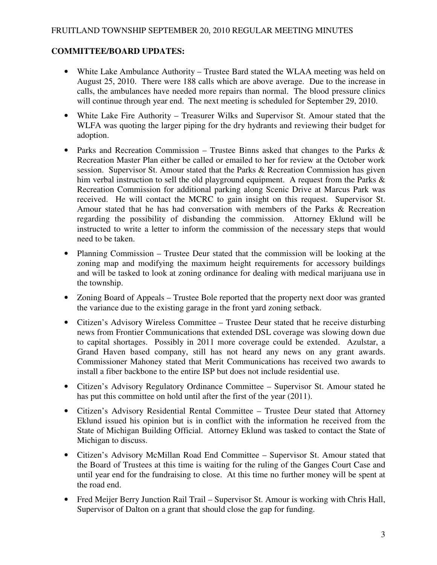## FRUITLAND TOWNSHIP SEPTEMBER 20, 2010 REGULAR MEETING MINUTES

# **COMMITTEE/BOARD UPDATES:**

- White Lake Ambulance Authority Trustee Bard stated the WLAA meeting was held on August 25, 2010. There were 188 calls which are above average. Due to the increase in calls, the ambulances have needed more repairs than normal. The blood pressure clinics will continue through year end. The next meeting is scheduled for September 29, 2010.
- White Lake Fire Authority Treasurer Wilks and Supervisor St. Amour stated that the WLFA was quoting the larger piping for the dry hydrants and reviewing their budget for adoption.
- Parks and Recreation Commission Trustee Binns asked that changes to the Parks & Recreation Master Plan either be called or emailed to her for review at the October work session. Supervisor St. Amour stated that the Parks & Recreation Commission has given him verbal instruction to sell the old playground equipment. A request from the Parks  $\&$ Recreation Commission for additional parking along Scenic Drive at Marcus Park was received. He will contact the MCRC to gain insight on this request. Supervisor St. Amour stated that he has had conversation with members of the Parks & Recreation regarding the possibility of disbanding the commission. Attorney Eklund will be instructed to write a letter to inform the commission of the necessary steps that would need to be taken.
- Planning Commission Trustee Deur stated that the commission will be looking at the zoning map and modifying the maximum height requirements for accessory buildings and will be tasked to look at zoning ordinance for dealing with medical marijuana use in the township.
- Zoning Board of Appeals Trustee Bole reported that the property next door was granted the variance due to the existing garage in the front yard zoning setback.
- Citizen's Advisory Wireless Committee Trustee Deur stated that he receive disturbing news from Frontier Communications that extended DSL coverage was slowing down due to capital shortages. Possibly in 2011 more coverage could be extended. Azulstar, a Grand Haven based company, still has not heard any news on any grant awards. Commissioner Mahoney stated that Merit Communications has received two awards to install a fiber backbone to the entire ISP but does not include residential use.
- Citizen's Advisory Regulatory Ordinance Committee Supervisor St. Amour stated he has put this committee on hold until after the first of the year (2011).
- Citizen's Advisory Residential Rental Committee Trustee Deur stated that Attorney Eklund issued his opinion but is in conflict with the information he received from the State of Michigan Building Official. Attorney Eklund was tasked to contact the State of Michigan to discuss.
- Citizen's Advisory McMillan Road End Committee Supervisor St. Amour stated that the Board of Trustees at this time is waiting for the ruling of the Ganges Court Case and until year end for the fundraising to close. At this time no further money will be spent at the road end.
- Fred Meijer Berry Junction Rail Trail Supervisor St. Amour is working with Chris Hall, Supervisor of Dalton on a grant that should close the gap for funding.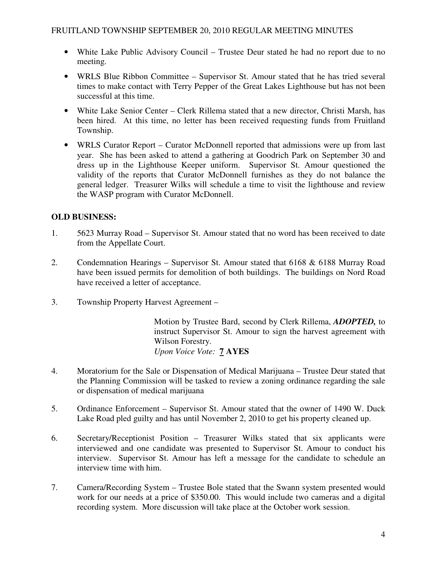- White Lake Public Advisory Council Trustee Deur stated he had no report due to no meeting.
- WRLS Blue Ribbon Committee Supervisor St. Amour stated that he has tried several times to make contact with Terry Pepper of the Great Lakes Lighthouse but has not been successful at this time.
- White Lake Senior Center Clerk Rillema stated that a new director, Christi Marsh, has been hired. At this time, no letter has been received requesting funds from Fruitland Township.
- WRLS Curator Report Curator McDonnell reported that admissions were up from last year. She has been asked to attend a gathering at Goodrich Park on September 30 and dress up in the Lighthouse Keeper uniform. Supervisor St. Amour questioned the validity of the reports that Curator McDonnell furnishes as they do not balance the general ledger. Treasurer Wilks will schedule a time to visit the lighthouse and review the WASP program with Curator McDonnell.

# **OLD BUSINESS:**

- 1. 5623 Murray Road Supervisor St. Amour stated that no word has been received to date from the Appellate Court.
- 2. Condemnation Hearings Supervisor St. Amour stated that 6168 & 6188 Murray Road have been issued permits for demolition of both buildings. The buildings on Nord Road have received a letter of acceptance.
- 3. Township Property Harvest Agreement –

Motion by Trustee Bard, second by Clerk Rillema, *ADOPTED,* to instruct Supervisor St. Amour to sign the harvest agreement with Wilson Forestry. *Upon Voice Vote:* **7 AYES** 

- 4. Moratorium for the Sale or Dispensation of Medical Marijuana Trustee Deur stated that the Planning Commission will be tasked to review a zoning ordinance regarding the sale or dispensation of medical marijuana
- 5. Ordinance Enforcement Supervisor St. Amour stated that the owner of 1490 W. Duck Lake Road pled guilty and has until November 2, 2010 to get his property cleaned up.
- 6. Secretary/Receptionist Position Treasurer Wilks stated that six applicants were interviewed and one candidate was presented to Supervisor St. Amour to conduct his interview. Supervisor St. Amour has left a message for the candidate to schedule an interview time with him.
- 7. Camera/Recording System Trustee Bole stated that the Swann system presented would work for our needs at a price of \$350.00. This would include two cameras and a digital recording system. More discussion will take place at the October work session.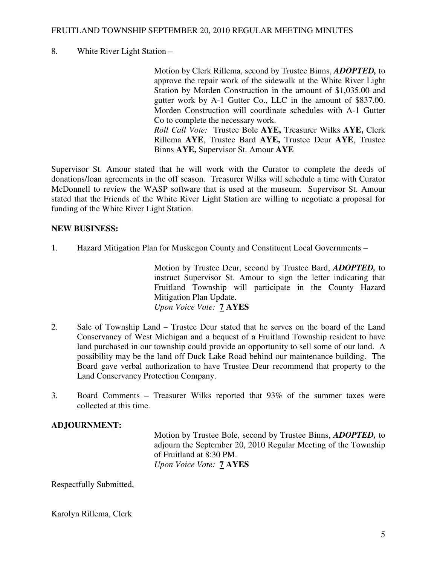### FRUITLAND TOWNSHIP SEPTEMBER 20, 2010 REGULAR MEETING MINUTES

## 8. White River Light Station –

Motion by Clerk Rillema, second by Trustee Binns, *ADOPTED,* to approve the repair work of the sidewalk at the White River Light Station by Morden Construction in the amount of \$1,035.00 and gutter work by A-1 Gutter Co., LLC in the amount of \$837.00. Morden Construction will coordinate schedules with A-1 Gutter Co to complete the necessary work. *Roll Call Vote:* Trustee Bole **AYE,** Treasurer Wilks **AYE,** Clerk Rillema **AYE**, Trustee Bard **AYE,** Trustee Deur **AYE**, Trustee Binns **AYE,** Supervisor St. Amour **AYE** 

Supervisor St. Amour stated that he will work with the Curator to complete the deeds of donations/loan agreements in the off season. Treasurer Wilks will schedule a time with Curator McDonnell to review the WASP software that is used at the museum. Supervisor St. Amour stated that the Friends of the White River Light Station are willing to negotiate a proposal for funding of the White River Light Station.

### **NEW BUSINESS:**

1. Hazard Mitigation Plan for Muskegon County and Constituent Local Governments –

Motion by Trustee Deur, second by Trustee Bard, *ADOPTED,* to instruct Supervisor St. Amour to sign the letter indicating that Fruitland Township will participate in the County Hazard Mitigation Plan Update. *Upon Voice Vote:* **7 AYES** 

- 2. Sale of Township Land Trustee Deur stated that he serves on the board of the Land Conservancy of West Michigan and a bequest of a Fruitland Township resident to have land purchased in our township could provide an opportunity to sell some of our land. A possibility may be the land off Duck Lake Road behind our maintenance building. The Board gave verbal authorization to have Trustee Deur recommend that property to the Land Conservancy Protection Company.
- 3. Board Comments Treasurer Wilks reported that 93% of the summer taxes were collected at this time.

### **ADJOURNMENT:**

Motion by Trustee Bole, second by Trustee Binns, *ADOPTED,* to adjourn the September 20, 2010 Regular Meeting of the Township of Fruitland at 8:30 PM. *Upon Voice Vote:* **7 AYES** 

Respectfully Submitted,

Karolyn Rillema, Clerk